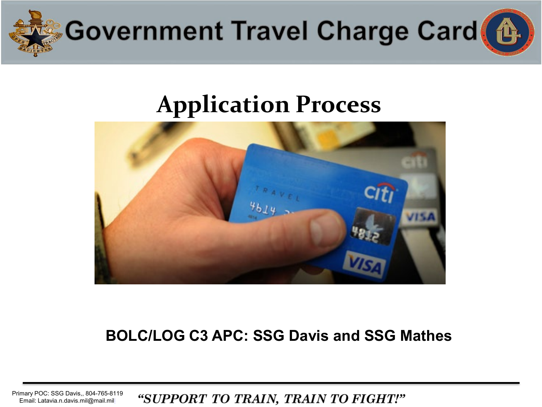

### **Application Process**



### **BOLC/LOG C3 APC: SSG Davis and SSG Mathes**

Primary POC: SSG Davis,, 804-765-8119 "SUPPORT TO TRAIN, TRAIN TO FIGHT!" Email: Latavia.n.davis.mil@mail.mil[l](mailto:Delandra.s.rollins.mil@mail.mil)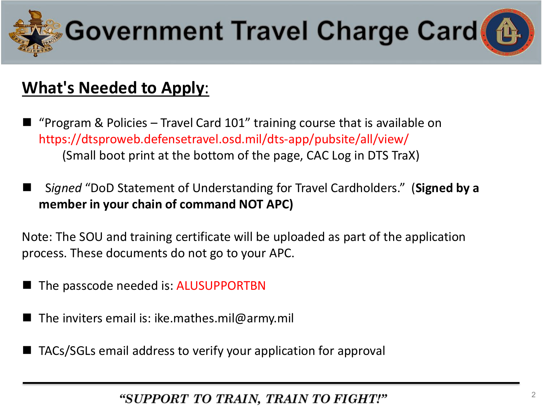



### **What's Needed to Apply**:

- "Program & Policies Travel Card 101" training course that is available on https://dtsproweb.defensetravel.osd.mil/dts-app/pubsite/all/view/ (Small boot print at the bottom of the page, CAC Log in DTS TraX)
- S*igned* "DoD Statement of Understanding for Travel Cardholders." (**Signed by a member in your chain of command NOT APC)**

Note: The SOU and training certificate will be uploaded as part of the application process. These documents do not go to your APC.

- The passcode needed is: ALUSUPPORTBN
- The inviters email is: ike.mathes.mil@army.mil
- TACs/SGLs email address to verify your application for approval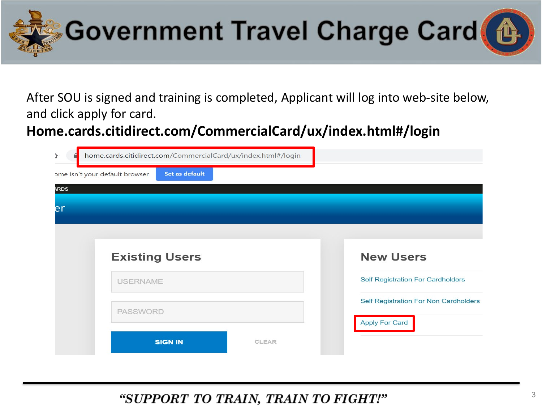

After SOU is signed and training is completed, Applicant will log into web-site below, and click apply for card.

**Home.cards.citidirect.com/CommercialCard/ux/index.html#/login**

| Y                              | home.cards.citidirect.com/CommercialCard/ux/index.html#/login |              |                                                         |  |
|--------------------------------|---------------------------------------------------------------|--------------|---------------------------------------------------------|--|
| ome isn't your default browser | Set as default                                                |              |                                                         |  |
| <b>ARDS</b>                    |                                                               |              |                                                         |  |
| er                             |                                                               |              |                                                         |  |
|                                |                                                               |              |                                                         |  |
| <b>Existing Users</b>          |                                                               |              | <b>New Users</b>                                        |  |
| <b>USERNAME</b>                |                                                               |              | <b>Self Registration For Cardholders</b>                |  |
| <b>PASSWORD</b>                |                                                               |              | Self Registration For Non Cardholders<br>Apply For Card |  |
|                                | <b>SIGN IN</b>                                                | <b>CLEAR</b> |                                                         |  |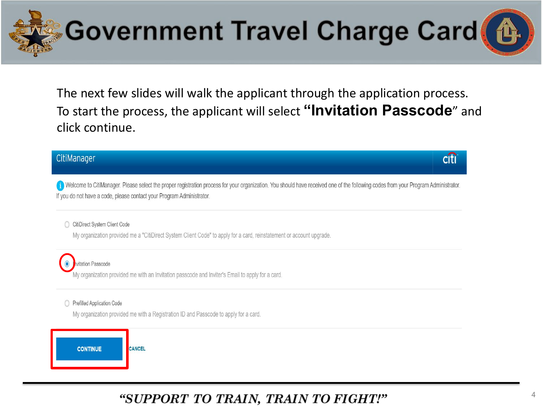

The next few slides will walk the applicant through the application process. To start the process, the applicant will select "Invitation Passcode" and click continue.

#### CitiManager

Welcome to CitiManager. Please select the proper registration process for your organization. You should have received one of the following codes from your Program Administrator. If you do not have a code, please contact your Program Administrator.

CitiDirect System Client Code

My organization provided me a "CitiDirect System Client Code" to apply for a card, reinstatement or account upgrade.



vitation Passcode

My organization provided me with an Invitation passcode and Inviter's Email to apply for a card.

#### Prefilled Application Code

My organization provided me with a Registration ID and Passcode to apply for a card.



### "SUPPORT TO TRAIN, TRAIN TO FIGHT!"

citi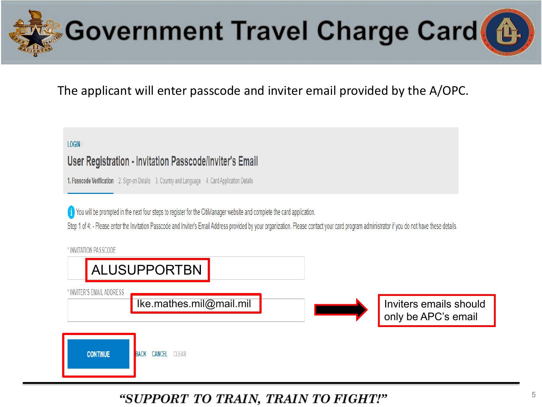



### The applicant will enter passcode and inviter email provided by the A/OPC.

#### $LOGIN$

#### User Registration - Invitation Passcode/Inviter's Email

1. Passcode Verification 2. Sign-on Details 3. Country and Language 4. Card Application Details

To You will be prompted in the next four steps to register for the CitiManager website and complete the card application.

Step 1 of 4: - Please enter the Invitation Passcode and Inviter's Email Address provided by your organization. Please contact your card program administrator if you do not have these details.

\* INVITATION PASSCODE

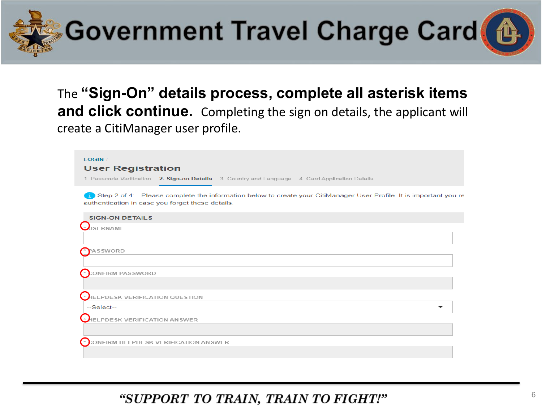



The **"Sign-On" details process, complete all asterisk items and click continue.** Completing the sign on details, the applicant will create a CitiManager user profile.

| LOGIN /<br><b>User Registration</b>                                                                                                                                         |
|-----------------------------------------------------------------------------------------------------------------------------------------------------------------------------|
| 1. Passcode Verification 2. Sign-on Details 3. Country and Language 4. Card Application Details                                                                             |
| 1) Step 2 of 4: - Please complete the information below to create your CitiManager User Profile. It is important you re<br>authentication in case you forget these details. |
| <b>SIGN-ON DETAILS</b>                                                                                                                                                      |
| SERNAME                                                                                                                                                                     |
|                                                                                                                                                                             |
| ASSWORD                                                                                                                                                                     |
| ONFIRM PASSWORD                                                                                                                                                             |
|                                                                                                                                                                             |
| ELPDESK VERIFICATION QUESTION                                                                                                                                               |
| $-Select-$                                                                                                                                                                  |
| ELPDESK VERIFICATION ANSWER                                                                                                                                                 |
|                                                                                                                                                                             |
| ONFIRM HELPDESK VERIFICATION ANSWER                                                                                                                                         |
|                                                                                                                                                                             |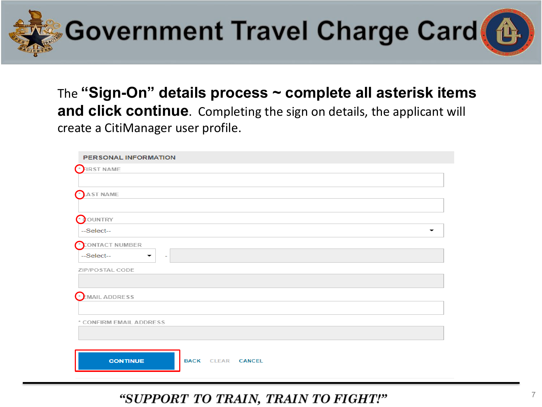



The **"Sign-On" details process ~ complete all asterisk items and click continue**. Completing the sign on details, the applicant will create a CitiManager user profile.

| <b>PERSONAL INFORMATION</b>                 |
|---------------------------------------------|
| $\bigcap$ FIRST NAME                        |
|                                             |
| AST NAME                                    |
|                                             |
| OUNTRY                                      |
| --Select--<br>▼                             |
| CONTACT NUMBER                              |
| --Select--<br>٠                             |
| ZIP/POSTAL CODE                             |
|                                             |
| EMAIL ADDRESS                               |
|                                             |
| * CONFIRM EMAIL ADDRESS                     |
|                                             |
|                                             |
| <b>CONTINUE</b><br><b>BACK CLEAR CANCEL</b> |
|                                             |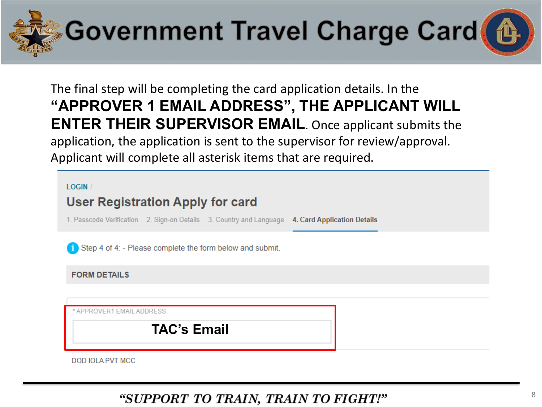

The final step will be completing the card application details. In the "APPROVER 1 EMAIL ADDRESS", THE APPLICANT WILL **ENTER THEIR SUPERVISOR EMAIL.** Once applicant submits the application, the application is sent to the supervisor for review/approval. Applicant will complete all asterisk items that are required.

**LOGIN** 

### **User Registration Apply for card**

1. Passcode Verification 2. Sign-on Details 3. Country and Language 4. Card Application Details

Step 4 of 4: - Please complete the form below and submit.

**FORM DETAILS** 

APPROVER1 EMAIL ADDRESS

**TAC's Email** 

**DOD JOLA PVT MCC**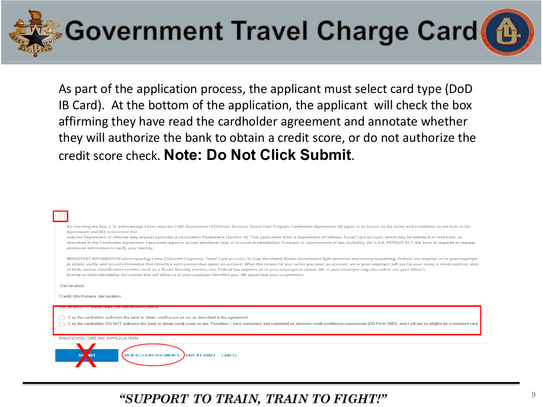

As part of the application process, the applicant must select card type (DoD IB Card). At the bottom of the application, the applicant will check the box affirming they have read the cardholder agreement and annotate whether they will authorize the bank to obtain a credit score, or do not authorize the credit score check. Note: Do Not Click Submit.

By checking the box, I: (i) acknowledge I have read the Citi® Department of Defense Services Travel Card Program Cardholder Agreement; (ii) agree to be bound by the terms and conditions as set forth in the Agreement: and (iii) understand that

only the Department of Defense may request particular Authorization Parameters (Section III). This application is for a Department of Defense Travel Card account, which may be standard or restricted, as described in the Cardholder Agreement. I expressly agree to accept whichever type of account is established. Pursuant to requirements of law, including the U.S.A. PATRIOT ACT, the bank is required to request additional information to verify your identity.

IMPORTANT INFORMATION about opening a new Citibank® Corporate Travel Card account: To help the United States Government fight terrorism and money laundering, Federal law requires us or your employer to obtain, verify, and record information that identifies each person that opens an account. What this means for you: when you open an account, we or your employer will ask for your name, a street address, date of birth, and an identification number, such as a Social Security number, that Federal law requires us or your employer to obtain. We or your employer may also ask to see your driver's license or other identifying documents that will allow us or your employer identifies you. We appreciate your cooperation.

Declaration

**Credit Worthiness declaration** 

I, as the cardholder, authorize the bank to obtain credit score on me as described in the agreement

I, as the cardholder, DO NOT authorize the bank to obtain credit score on me. Therefore, I have completed and submitted an alternate credit worthiness assessment (DD Form 2883), and I will not be eligible for a standard ca

INDIVIDUAL ONLINE APPLICATION

**VIEW ACCOUNT DOCUMENTS** SAVE AS DRAFT CANCEL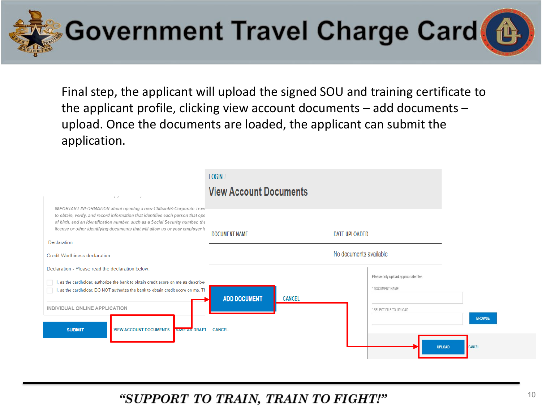

Final step, the applicant will upload the signed SOU and training certificate to the applicant profile, clicking view account documents – add documents – upload. Once the documents are loaded, the applicant can submit the application.

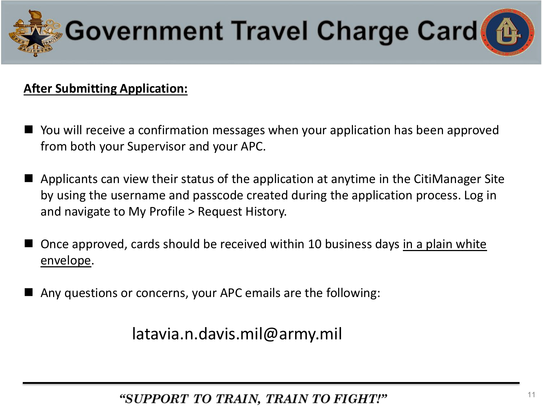

#### **After Submitting Application:**

- You will receive a confirmation messages when your application has been approved from both your Supervisor and your APC.
- Applicants can view their status of the application at anytime in the CitiManager Site by using the username and passcode created during the application process. Log in and navigate to My Profile > Request History.
- Once approved, cards should be received within 10 business days in a plain white envelope.
- Any questions or concerns, your APC emails are the following:

latavia.n.davis.mil@army.mil